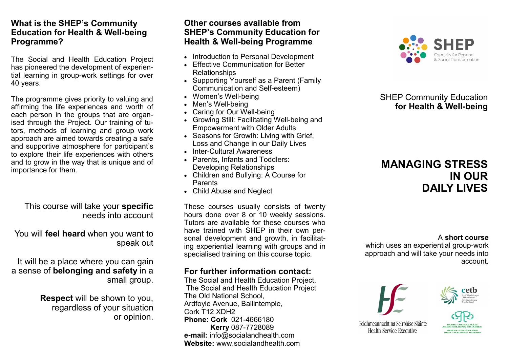## **What is the SHEP's Community Education for Health & Well-being Programme?**

The Social and Health Education Project has pioneered the development of experiential learning in group-work settings for over 40 years.

The programme gives priority to valuing and affirming the life experiences and worth of each person in the groups that are organised through the Project. Our training of tutors, methods of learning and group work approach are aimed towards creating a safe and supportive atmosphere for participant's to explore their life experiences with others and to grow in the way that is unique and of importance for them.

# This course will take your **specific**  needs into account

You will **feel heard** when you want to speak out

It will be a place where you can gain a sense of **belonging and safety** in a small group.

> **Respect** will be shown to you, regardless of your situation or opinion.

# **Other courses available from SHEP's Community Education for Health & Well-being Programme**

- Introduction to Personal Development
- Effective Communication for Better Relationships
- Supporting Yourself as a Parent (Family Communication and Self-esteem)
- Women's Well-being
- Men's Well-being
- Caring for Our Well-being
- Growing Still: Facilitating Well-being and Empowerment with Older Adults
- Seasons for Growth: Living with Grief, Loss and Change in our Daily Lives
- Inter-Cultural Awareness
- Parents, Infants and Toddlers: Developing Relationships
- Children and Bullying: A Course for Parents
- Child Abuse and Neglect

These courses usually consists of twenty hours done over 8 or 10 weekly sessions. Tutors are available for these courses who have trained with SHEP in their own personal development and growth, in facilitating experiential learning with groups and in specialised training on this course topic.

# **For further information contact:**

The Social and Health Education Project, The Social and Health Education Project The Old National School, Ardfoyle Avenue, Ballintemple, Cork T12 XDH2 **Phone: Cork** 021-4666180 **Kerry** 087-7728089 **e-mail:** info@socialandhealth.com **Website:** www.socialandhealth.com



# SHEP Community Education  **for Health & Well-being**

# **MANAGING STRESS IN OUR DAILY LIVES**

### A **short course**

which uses an experiential group-work approach and will take your needs into account.